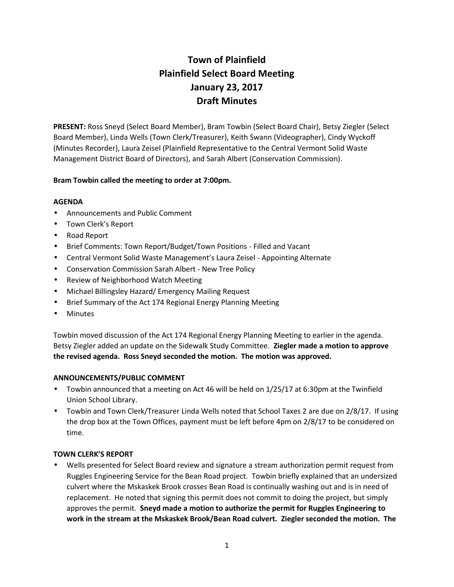# **Town of Plainfield Plainfield Select Board Meeting January 23, 2017 Draft Minutes**

**PRESENT:** Ross Sneyd (Select Board Member), Bram Towbin (Select Board Chair), Betsy Ziegler (Select Board Member), Linda Wells (Town Clerk/Treasurer), Keith Swann (Videographer), Cindy Wyckoff (Minutes Recorder), Laura Zeisel (Plainfield Representative to the Central Vermont Solid Waste Management District Board of Directors), and Sarah Albert (Conservation Commission).

## **Bram Towbin called the meeting to order at 7:00pm.**

## **AGENDA**

- Announcements and Public Comment
- Town Clerk's Report
- Road Report
- Brief Comments: Town Report/Budget/Town Positions Filled and Vacant
- Central Vermont Solid Waste Management's Laura Zeisel Appointing Alternate
- Conservation Commission Sarah Albert New Tree Policy
- Review of Neighborhood Watch Meeting
- Michael Billingsley Hazard/ Emergency Mailing Request
- Brief Summary of the Act 174 Regional Energy Planning Meeting
- **Minutes**

Towbin moved discussion of the Act 174 Regional Energy Planning Meeting to earlier in the agenda. Betsy Ziegler added an update on the Sidewalk Study Committee. **Ziegler made a motion to approve the revised agenda. Ross Sneyd seconded the motion. The motion was approved.**

# **ANNOUNCEMENTS/PUBLIC COMMENT**

- Towbin announced that a meeting on Act 46 will be held on 1/25/17 at 6:30pm at the Twinfield Union School Library.
- Towbin and Town Clerk/Treasurer Linda Wells noted that School Taxes 2 are due on 2/8/17. If using the drop box at the Town Offices, payment must be left before 4pm on 2/8/17 to be considered on time.

# **TOWN CLERK'S REPORT**

 Wells presented for Select Board review and signature a stream authorization permit request from Ruggles Engineering Service for the Bean Road project. Towbin briefly explained that an undersized culvert where the Mskaskek Brook crosses Bean Road is continually washing out and is in need of replacement. He noted that signing this permit does not commit to doing the project, but simply approves the permit. **Sneyd made a motion to authorize the permit for Ruggles Engineering to work in the stream at the Mskaskek Brook/Bean Road culvert. Ziegler seconded the motion. The**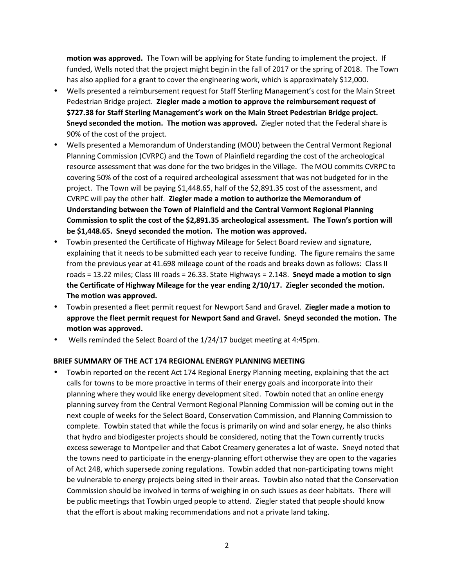**motion was approved.** The Town will be applying for State funding to implement the project. If funded, Wells noted that the project might begin in the fall of 2017 or the spring of 2018. The Town has also applied for a grant to cover the engineering work, which is approximately \$12,000.

- Wells presented a reimbursement request for Staff Sterling Management's cost for the Main Street Pedestrian Bridge project. **Ziegler made a motion to approve the reimbursement request of \$727.38 for Staff Sterling Management's work on the Main Street Pedestrian Bridge project. Sneyd seconded the motion. The motion was approved.** Ziegler noted that the Federal share is 90% of the cost of the project.
- Wells presented a Memorandum of Understanding (MOU) between the Central Vermont Regional Planning Commission (CVRPC) and the Town of Plainfield regarding the cost of the archeological resource assessment that was done for the two bridges in the Village. The MOU commits CVRPC to covering 50% of the cost of a required archeological assessment that was not budgeted for in the project. The Town will be paying \$1,448.65, half of the \$2,891.35 cost of the assessment, and CVRPC will pay the other half. **Ziegler made a motion to authorize the Memorandum of Understanding between the Town of Plainfield and the Central Vermont Regional Planning Commission to split the cost of the \$2,891.35 archeological assessment. The Town's portion will be \$1,448.65. Sneyd seconded the motion. The motion was approved.**
- Towbin presented the Certificate of Highway Mileage for Select Board review and signature, explaining that it needs to be submitted each year to receive funding. The figure remains the same from the previous year at 41.698 mileage count of the roads and breaks down as follows: Class II roads = 13.22 miles; Class III roads = 26.33. State Highways = 2.148. **Sneyd made a motion to sign the Certificate of Highway Mileage for the year ending 2/10/17. Ziegler seconded the motion. The motion was approved.**
- Towbin presented a fleet permit request for Newport Sand and Gravel. **Ziegler made a motion to approve the fleet permit request for Newport Sand and Gravel. Sneyd seconded the motion. The motion was approved.**
- Wells reminded the Select Board of the 1/24/17 budget meeting at 4:45pm.

#### **BRIEF SUMMARY OF THE ACT 174 REGIONAL ENERGY PLANNING MEETING**

 Towbin reported on the recent Act 174 Regional Energy Planning meeting, explaining that the act calls for towns to be more proactive in terms of their energy goals and incorporate into their planning where they would like energy development sited. Towbin noted that an online energy planning survey from the Central Vermont Regional Planning Commission will be coming out in the next couple of weeks for the Select Board, Conservation Commission, and Planning Commission to complete. Towbin stated that while the focus is primarily on wind and solar energy, he also thinks that hydro and biodigester projects should be considered, noting that the Town currently trucks excess sewerage to Montpelier and that Cabot Creamery generates a lot of waste. Sneyd noted that the towns need to participate in the energy-planning effort otherwise they are open to the vagaries of Act 248, which supersede zoning regulations. Towbin added that non-participating towns might be vulnerable to energy projects being sited in their areas. Towbin also noted that the Conservation Commission should be involved in terms of weighing in on such issues as deer habitats. There will be public meetings that Towbin urged people to attend. Ziegler stated that people should know that the effort is about making recommendations and not a private land taking.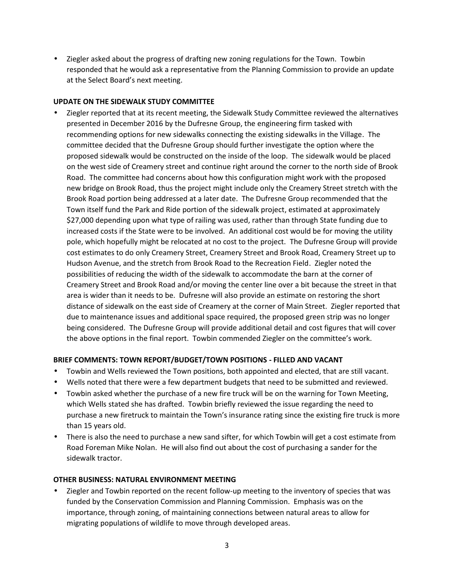Ziegler asked about the progress of drafting new zoning regulations for the Town. Towbin responded that he would ask a representative from the Planning Commission to provide an update at the Select Board's next meeting.

## **UPDATE ON THE SIDEWALK STUDY COMMITTEE**

 Ziegler reported that at its recent meeting, the Sidewalk Study Committee reviewed the alternatives presented in December 2016 by the Dufresne Group, the engineering firm tasked with recommending options for new sidewalks connecting the existing sidewalks in the Village. The committee decided that the Dufresne Group should further investigate the option where the proposed sidewalk would be constructed on the inside of the loop. The sidewalk would be placed on the west side of Creamery street and continue right around the corner to the north side of Brook Road. The committee had concerns about how this configuration might work with the proposed new bridge on Brook Road, thus the project might include only the Creamery Street stretch with the Brook Road portion being addressed at a later date. The Dufresne Group recommended that the Town itself fund the Park and Ride portion of the sidewalk project, estimated at approximately \$27,000 depending upon what type of railing was used, rather than through State funding due to increased costs if the State were to be involved. An additional cost would be for moving the utility pole, which hopefully might be relocated at no cost to the project. The Dufresne Group will provide cost estimates to do only Creamery Street, Creamery Street and Brook Road, Creamery Street up to Hudson Avenue, and the stretch from Brook Road to the Recreation Field. Ziegler noted the possibilities of reducing the width of the sidewalk to accommodate the barn at the corner of Creamery Street and Brook Road and/or moving the center line over a bit because the street in that area is wider than it needs to be. Dufresne will also provide an estimate on restoring the short distance of sidewalk on the east side of Creamery at the corner of Main Street. Ziegler reported that due to maintenance issues and additional space required, the proposed green strip was no longer being considered. The Dufresne Group will provide additional detail and cost figures that will cover the above options in the final report. Towbin commended Ziegler on the committee's work.

## **BRIEF COMMENTS: TOWN REPORT/BUDGET/TOWN POSITIONS - FILLED AND VACANT**

- Towbin and Wells reviewed the Town positions, both appointed and elected, that are still vacant.
- Wells noted that there were a few department budgets that need to be submitted and reviewed.
- Towbin asked whether the purchase of a new fire truck will be on the warning for Town Meeting, which Wells stated she has drafted. Towbin briefly reviewed the issue regarding the need to purchase a new firetruck to maintain the Town's insurance rating since the existing fire truck is more than 15 years old.
- There is also the need to purchase a new sand sifter, for which Towbin will get a cost estimate from Road Foreman Mike Nolan. He will also find out about the cost of purchasing a sander for the sidewalk tractor.

## **OTHER BUSINESS: NATURAL ENVIRONMENT MEETING**

 Ziegler and Towbin reported on the recent follow-up meeting to the inventory of species that was funded by the Conservation Commission and Planning Commission. Emphasis was on the importance, through zoning, of maintaining connections between natural areas to allow for migrating populations of wildlife to move through developed areas.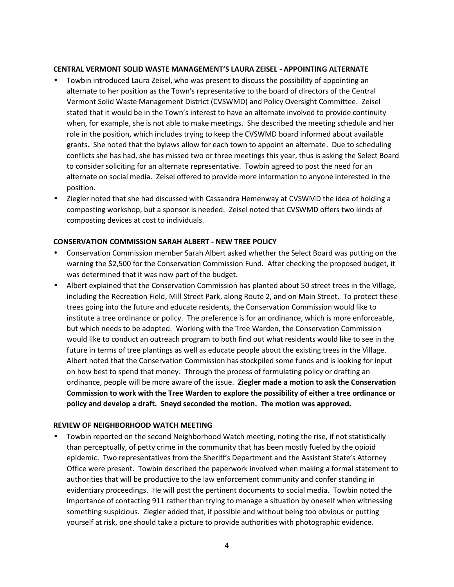#### **CENTRAL VERMONT SOLID WASTE MANAGEMENT'S LAURA ZEISEL - APPOINTING ALTERNATE**

- Towbin introduced Laura Zeisel, who was present to discuss the possibility of appointing an alternate to her position as the Town's representative to the board of directors of the Central Vermont Solid Waste Management District (CVSWMD) and Policy Oversight Committee. Zeisel stated that it would be in the Town's interest to have an alternate involved to provide continuity when, for example, she is not able to make meetings. She described the meeting schedule and her role in the position, which includes trying to keep the CVSWMD board informed about available grants. She noted that the bylaws allow for each town to appoint an alternate. Due to scheduling conflicts she has had, she has missed two or three meetings this year, thus is asking the Select Board to consider soliciting for an alternate representative. Towbin agreed to post the need for an alternate on social media. Zeisel offered to provide more information to anyone interested in the position.
- Ziegler noted that she had discussed with Cassandra Hemenway at CVSWMD the idea of holding a composting workshop, but a sponsor is needed. Zeisel noted that CVSWMD offers two kinds of composting devices at cost to individuals.

### **CONSERVATION COMMISSION SARAH ALBERT - NEW TREE POLICY**

- Conservation Commission member Sarah Albert asked whether the Select Board was putting on the warning the \$2,500 for the Conservation Commission Fund. After checking the proposed budget, it was determined that it was now part of the budget.
- Albert explained that the Conservation Commission has planted about 50 street trees in the Village, including the Recreation Field, Mill Street Park, along Route 2, and on Main Street. To protect these trees going into the future and educate residents, the Conservation Commission would like to institute a tree ordinance or policy. The preference is for an ordinance, which is more enforceable, but which needs to be adopted. Working with the Tree Warden, the Conservation Commission would like to conduct an outreach program to both find out what residents would like to see in the future in terms of tree plantings as well as educate people about the existing trees in the Village. Albert noted that the Conservation Commission has stockpiled some funds and is looking for input on how best to spend that money. Through the process of formulating policy or drafting an ordinance, people will be more aware of the issue. **Ziegler made a motion to ask the Conservation Commission to work with the Tree Warden to explore the possibility of either a tree ordinance or policy and develop a draft. Sneyd seconded the motion. The motion was approved.**

#### **REVIEW OF NEIGHBORHOOD WATCH MEETING**

 Towbin reported on the second Neighborhood Watch meeting, noting the rise, if not statistically than perceptually, of petty crime in the community that has been mostly fueled by the opioid epidemic. Two representatives from the Sheriff's Department and the Assistant State's Attorney Office were present. Towbin described the paperwork involved when making a formal statement to authorities that will be productive to the law enforcement community and confer standing in evidentiary proceedings. He will post the pertinent documents to social media. Towbin noted the importance of contacting 911 rather than trying to manage a situation by oneself when witnessing something suspicious. Ziegler added that, if possible and without being too obvious or putting yourself at risk, one should take a picture to provide authorities with photographic evidence.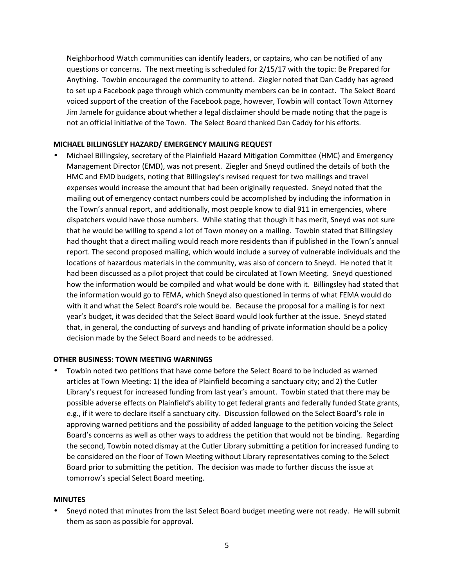Neighborhood Watch communities can identify leaders, or captains, who can be notified of any questions or concerns. The next meeting is scheduled for 2/15/17 with the topic: Be Prepared for Anything. Towbin encouraged the community to attend. Ziegler noted that Dan Caddy has agreed to set up a Facebook page through which community members can be in contact. The Select Board voiced support of the creation of the Facebook page, however, Towbin will contact Town Attorney Jim Jamele for guidance about whether a legal disclaimer should be made noting that the page is not an official initiative of the Town. The Select Board thanked Dan Caddy for his efforts.

### **MICHAEL BILLINGSLEY HAZARD/ EMERGENCY MAILING REQUEST**

 Michael Billingsley, secretary of the Plainfield Hazard Mitigation Committee (HMC) and Emergency Management Director (EMD), was not present. Ziegler and Sneyd outlined the details of both the HMC and EMD budgets, noting that Billingsley's revised request for two mailings and travel expenses would increase the amount that had been originally requested. Sneyd noted that the mailing out of emergency contact numbers could be accomplished by including the information in the Town's annual report, and additionally, most people know to dial 911 in emergencies, where dispatchers would have those numbers. While stating that though it has merit, Sneyd was not sure that he would be willing to spend a lot of Town money on a mailing. Towbin stated that Billingsley had thought that a direct mailing would reach more residents than if published in the Town's annual report. The second proposed mailing, which would include a survey of vulnerable individuals and the locations of hazardous materials in the community, was also of concern to Sneyd. He noted that it had been discussed as a pilot project that could be circulated at Town Meeting. Sneyd questioned how the information would be compiled and what would be done with it. Billingsley had stated that the information would go to FEMA, which Sneyd also questioned in terms of what FEMA would do with it and what the Select Board's role would be. Because the proposal for a mailing is for next year's budget, it was decided that the Select Board would look further at the issue. Sneyd stated that, in general, the conducting of surveys and handling of private information should be a policy decision made by the Select Board and needs to be addressed.

#### **OTHER BUSINESS: TOWN MEETING WARNINGS**

 Towbin noted two petitions that have come before the Select Board to be included as warned articles at Town Meeting: 1) the idea of Plainfield becoming a sanctuary city; and 2) the Cutler Library's request for increased funding from last year's amount. Towbin stated that there may be possible adverse effects on Plainfield's ability to get federal grants and federally funded State grants, e.g., if it were to declare itself a sanctuary city. Discussion followed on the Select Board's role in approving warned petitions and the possibility of added language to the petition voicing the Select Board's concerns as well as other ways to address the petition that would not be binding. Regarding the second, Towbin noted dismay at the Cutler Library submitting a petition for increased funding to be considered on the floor of Town Meeting without Library representatives coming to the Select Board prior to submitting the petition. The decision was made to further discuss the issue at tomorrow's special Select Board meeting.

#### **MINUTES**

 Sneyd noted that minutes from the last Select Board budget meeting were not ready. He will submit them as soon as possible for approval.